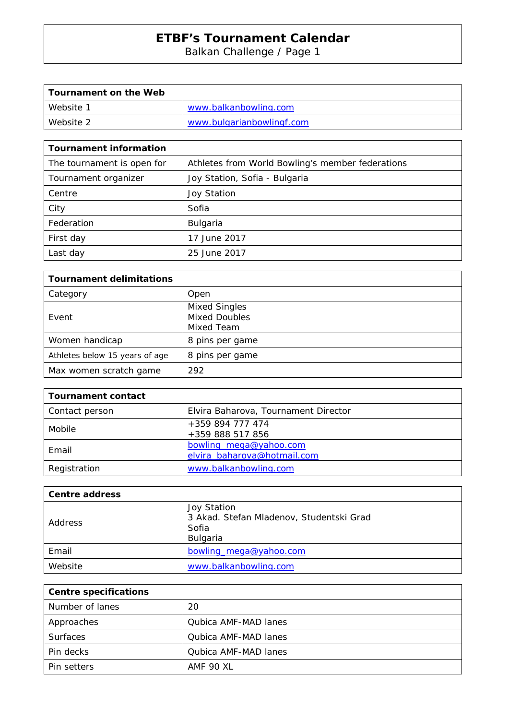Balkan Challenge / Page 1

| Tournament on the Web |                           |
|-----------------------|---------------------------|
| Website 1             | www.balkanbowling.com     |
| Website 2             | www.bulgarianbowlingf.com |

| <b>Tournament information</b> |                                                  |
|-------------------------------|--------------------------------------------------|
| The tournament is open for    | Athletes from World Bowling's member federations |
| Tournament organizer          | Joy Station, Sofia - Bulgaria                    |
| Centre                        | <b>Joy Station</b>                               |
| City                          | Sofia                                            |
| Federation                    | <b>Bulgaria</b>                                  |
| First day                     | 17 June 2017                                     |
| Last day                      | 25 June 2017                                     |

| <b>Tournament delimitations</b> |                                                            |
|---------------------------------|------------------------------------------------------------|
| Category                        | Open                                                       |
| Event                           | <b>Mixed Singles</b><br><b>Mixed Doubles</b><br>Mixed Team |
| Women handicap                  | 8 pins per game                                            |
| Athletes below 15 years of age  | 8 pins per game                                            |
| Max women scratch game          | 292                                                        |

| <b>Tournament contact</b> |                                                       |
|---------------------------|-------------------------------------------------------|
| Contact person            | Elvira Baharova, Tournament Director                  |
| Mobile                    | +359 894 777 474<br>+359 888 517 856                  |
| Email                     | bowling_mega@yahoo.com<br>elvira_baharova@hotmail.com |
| Registration              | www.balkanbowling.com                                 |

| <b>Centre address</b> |                                                                              |
|-----------------------|------------------------------------------------------------------------------|
| Address               | Joy Station<br>3 Akad. Stefan Mladenov, Studentski Grad<br>Sofia<br>Bulgaria |
| Email                 | bowling_mega@yahoo.com                                                       |
| Website               | www.balkanbowling.com                                                        |

| <b>Centre specifications</b> |                      |
|------------------------------|----------------------|
| Number of lanes              | 20                   |
| Approaches                   | Qubica AMF-MAD lanes |
| <b>Surfaces</b>              | Qubica AMF-MAD lanes |
| Pin decks                    | Qubica AMF-MAD lanes |
| Pin setters                  | AMF 90 XL            |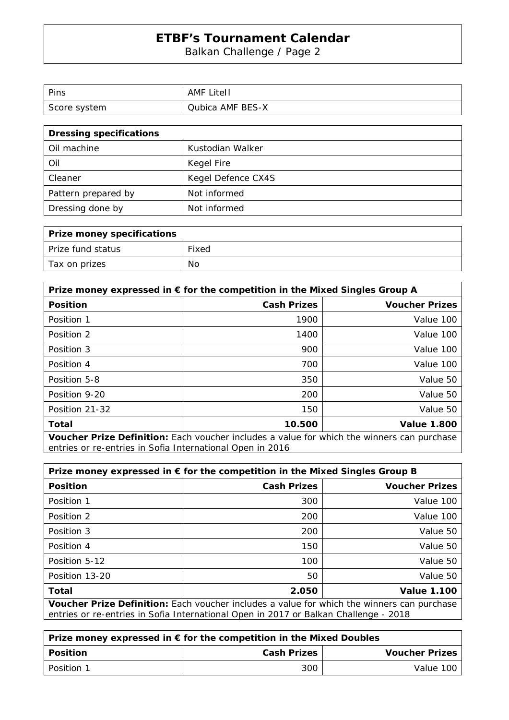Balkan Challenge / Page 2

| Pins         | <b>AMF Litell</b> |
|--------------|-------------------|
| Score system | Qubica AMF BES-X  |

| <b>Dressing specifications</b> |                    |
|--------------------------------|--------------------|
| Oil machine                    | Kustodian Walker   |
| Oil                            | Kegel Fire         |
| Cleaner                        | Kegel Defence CX4S |
| Pattern prepared by            | Not informed       |
| Dressing done by               | Not informed       |

| Prize money specifications |       |
|----------------------------|-------|
| Prize fund status          | Fixed |
| Tax on prizes              | No    |

| Prize money expressed in $\epsilon$ for the competition in the Mixed Singles Group A              |                    |                       |
|---------------------------------------------------------------------------------------------------|--------------------|-----------------------|
| <b>Position</b>                                                                                   | <b>Cash Prizes</b> | <b>Voucher Prizes</b> |
| Position 1                                                                                        | 1900               | Value 100             |
| Position 2                                                                                        | 1400               | Value 100             |
| Position 3                                                                                        | 900                | Value 100             |
| Position 4                                                                                        | 700                | Value 100             |
| Position 5-8                                                                                      | 350                | Value 50              |
| Position 9-20                                                                                     | 200                | Value 50              |
| Position 21-32                                                                                    | 150                | Value 50              |
| Total                                                                                             | 10.500             | <b>Value 1.800</b>    |
| <b>Voucher Prize Definition:</b> Each voucher includes a value for which the winners can purchase |                    |                       |

**Voucher Prize Definition:** Each voucher includes a value for which the winners can purchase entries or re-entries in Sofia International Open in 2016

| Prize money expressed in $\epsilon$ for the competition in the Mixed Singles Group B                                                                                               |                    |                       |
|------------------------------------------------------------------------------------------------------------------------------------------------------------------------------------|--------------------|-----------------------|
| <b>Position</b>                                                                                                                                                                    | <b>Cash Prizes</b> | <b>Voucher Prizes</b> |
| Position 1                                                                                                                                                                         | 300                | Value 100             |
| Position 2                                                                                                                                                                         | 200                | Value 100             |
| Position 3                                                                                                                                                                         | 200                | Value 50              |
| Position 4                                                                                                                                                                         | 150                | Value 50              |
| Position 5-12                                                                                                                                                                      | 100                | Value 50              |
| Position 13-20                                                                                                                                                                     | 50                 | Value 50              |
| Total                                                                                                                                                                              | 2.050              | <b>Value 1.100</b>    |
| Voucher Prize Definition: Each voucher includes a value for which the winners can purchase<br>entries or re-entries in Sofia International Open in 2017 or Balkan Challenge - 2018 |                    |                       |

| Prize money expressed in € for the competition in the Mixed Doubles |                    |                       |
|---------------------------------------------------------------------|--------------------|-----------------------|
| Position                                                            | <b>Cash Prizes</b> | <b>Voucher Prizes</b> |
| l Position 1                                                        | 300                | Value 100             |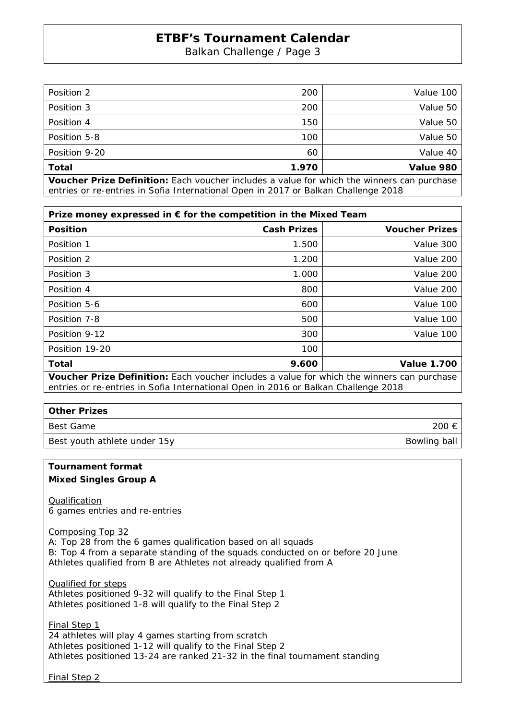Balkan Challenge / Page 3

| Total         | 1.970 | Value 980 |
|---------------|-------|-----------|
|               |       |           |
| Position 9-20 | 60    | Value 40  |
| Position 5-8  | 100   | Value 50  |
| Position 4    | 150   | Value 50  |
| Position 3    | 200   | Value 50  |
| Position 2    | 200   | Value 100 |

**Voucher Prize Definition:** Each voucher includes a value for which the winners can purchase entries or re-entries in Sofia International Open in 2017 or Balkan Challenge 2018

| Prize money expressed in € for the competition in the Mixed Team                           |                    |                       |  |
|--------------------------------------------------------------------------------------------|--------------------|-----------------------|--|
| <b>Position</b>                                                                            | <b>Cash Prizes</b> | <b>Voucher Prizes</b> |  |
| Position 1                                                                                 | 1.500              | Value 300             |  |
| Position 2                                                                                 | 1.200              | Value 200             |  |
| Position 3                                                                                 | 1.000              | Value 200             |  |
| Position 4                                                                                 | 800                | Value 200             |  |
| Position 5-6                                                                               | 600                | Value 100             |  |
| Position 7-8                                                                               | 500                | Value 100             |  |
| Position 9-12                                                                              | 300                | Value 100             |  |
| Position 19-20                                                                             | 100                |                       |  |
| Total                                                                                      | 9.600              | <b>Value 1.700</b>    |  |
| Variakan Dutan Daftuttian. Fook voudoor indudoo o voluo for urbiak the winners oon numboos |                    |                       |  |

**Voucher Prize Definition:** Each voucher includes a value for which the winners can purchase entries or re-entries in Sofia International Open in 2016 or Balkan Challenge 2018

| <b>Other Prizes</b>          |              |  |  |
|------------------------------|--------------|--|--|
| Best Game                    | 200 €        |  |  |
| Best youth athlete under 15y | Bowling ball |  |  |

#### **Tournament format**

#### **Mixed Singles Group A**

Qualification 6 games entries and re-entries

Composing Top 32

A: Top 28 from the 6 games qualification based on all squads B: Top 4 from a separate standing of the squads conducted on or before 20 June Athletes qualified from B are Athletes not already qualified from A

Qualified for steps Athletes positioned 9-32 will qualify to the Final Step 1 Athletes positioned 1-8 will qualify to the Final Step 2

Final Step 1 24 athletes will play 4 games starting from scratch Athletes positioned 1-12 will qualify to the Final Step 2 Athletes positioned 13-24 are ranked 21-32 in the final tournament standing

Final Step 2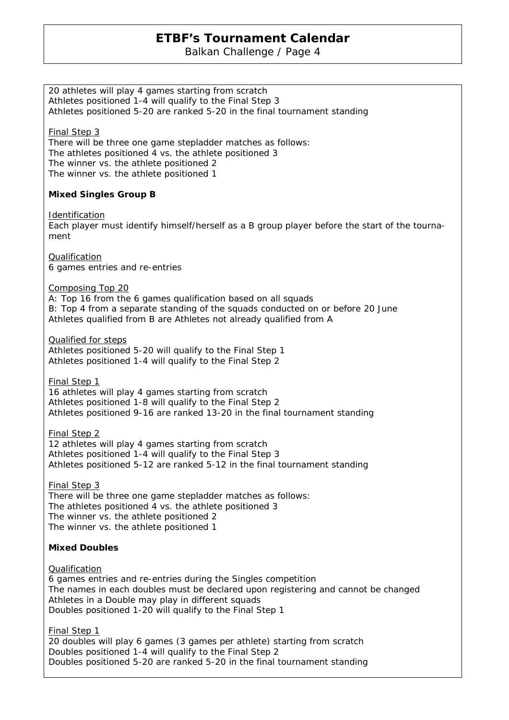Balkan Challenge / Page 4

20 athletes will play 4 games starting from scratch Athletes positioned 1-4 will qualify to the Final Step 3 Athletes positioned 5-20 are ranked 5-20 in the final tournament standing Final Step 3 There will be three one game stepladder matches as follows: The athletes positioned 4 vs. the athlete positioned 3 The winner vs. the athlete positioned 2 The winner vs. the athlete positioned 1 **Mixed Singles Group B Identification** Each player must identify himself/herself as a B group player before the start of the tournament Qualification 6 games entries and re-entries Composing Top 20 A: Top 16 from the 6 games qualification based on all squads B: Top 4 from a separate standing of the squads conducted on or before 20 June Athletes qualified from B are Athletes not already qualified from A Qualified for steps Athletes positioned 5-20 will qualify to the Final Step 1 Athletes positioned 1-4 will qualify to the Final Step 2 Final Step 1 16 athletes will play 4 games starting from scratch Athletes positioned 1-8 will qualify to the Final Step 2 Athletes positioned 9-16 are ranked 13-20 in the final tournament standing Final Step 2 12 athletes will play 4 games starting from scratch Athletes positioned 1-4 will qualify to the Final Step 3 Athletes positioned 5-12 are ranked 5-12 in the final tournament standing Final Step 3 There will be three one game stepladder matches as follows: The athletes positioned 4 vs. the athlete positioned 3 The winner vs. the athlete positioned 2 The winner vs. the athlete positioned 1 **Mixed Doubles**  Qualification 6 games entries and re-entries during the Singles competition The names in each doubles must be declared upon registering and cannot be changed Athletes in a Double may play in different squads Doubles positioned 1-20 will qualify to the Final Step 1 Final Step 1 20 doubles will play 6 games (3 games per athlete) starting from scratch Doubles positioned 1-4 will qualify to the Final Step 2 Doubles positioned 5-20 are ranked 5-20 in the final tournament standing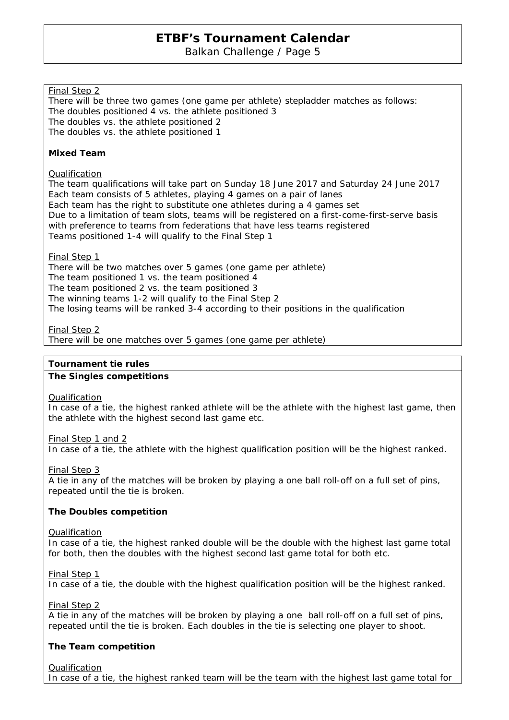Balkan Challenge / Page 5

### Final Step 2

There will be three two games (one game per athlete) stepladder matches as follows: The doubles positioned 4 vs. the athlete positioned 3 The doubles vs. the athlete positioned 2 The doubles vs. the athlete positioned 1

#### **Mixed Team**

#### Qualification

The team qualifications will take part on Sunday 18 June 2017 and Saturday 24 June 2017 Each team consists of 5 athletes, playing 4 games on a pair of lanes Each team has the right to substitute one athletes during a 4 games set Due to a limitation of team slots, teams will be registered on a first-come-first-serve basis with preference to teams from federations that have less teams registered Teams positioned 1-4 will qualify to the Final Step 1

#### Final Step 1

There will be two matches over 5 games (one game per athlete) The team positioned 1 vs. the team positioned 4 The team positioned 2 vs. the team positioned 3 The winning teams 1-2 will qualify to the Final Step 2 The losing teams will be ranked 3-4 according to their positions in the qualification

#### Final Step 2

There will be one matches over 5 games (one game per athlete)

#### **Tournament tie rules**

#### **The Singles competitions**

#### **Qualification**

In case of a tie, the highest ranked athlete will be the athlete with the highest last game, then the athlete with the highest second last game etc.

Final Step 1 and 2

In case of a tie, the athlete with the highest qualification position will be the highest ranked.

#### Final Step 3

A tie in any of the matches will be broken by playing a one ball roll-off on a full set of pins, repeated until the tie is broken.

#### **The Doubles competition**

#### Qualification

In case of a tie, the highest ranked double will be the double with the highest last game total for both, then the doubles with the highest second last game total for both etc.

#### Final Step 1

In case of a tie, the double with the highest qualification position will be the highest ranked.

Final Step 2

A tie in any of the matches will be broken by playing a one ball roll-off on a full set of pins, repeated until the tie is broken. Each doubles in the tie is selecting one player to shoot.

### **The Team competition**

Qualification

In case of a tie, the highest ranked team will be the team with the highest last game total for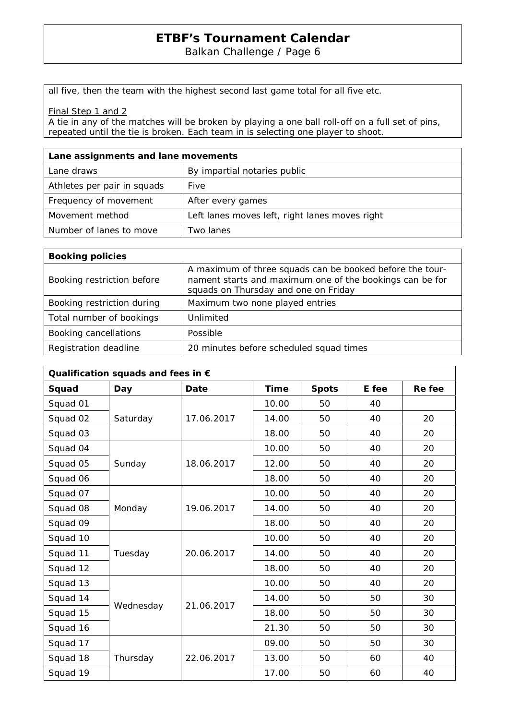Balkan Challenge / Page 6

all five, then the team with the highest second last game total for all five etc.

Final Step 1 and 2

A tie in any of the matches will be broken by playing a one ball roll-off on a full set of pins, repeated until the tie is broken. Each team in is selecting one player to shoot.

| Lane assignments and lane movements |                                                |  |  |
|-------------------------------------|------------------------------------------------|--|--|
| Lane draws                          | By impartial notaries public                   |  |  |
| Athletes per pair in squads         | Five                                           |  |  |
| Frequency of movement               | After every games                              |  |  |
| Movement method                     | Left lanes moves left, right lanes moves right |  |  |
| Number of lanes to move             | Two lanes                                      |  |  |

| <b>Booking policies</b>    |                                                                                                                                                              |
|----------------------------|--------------------------------------------------------------------------------------------------------------------------------------------------------------|
| Booking restriction before | A maximum of three squads can be booked before the tour-<br>nament starts and maximum one of the bookings can be for<br>squads on Thursday and one on Friday |
| Booking restriction during | Maximum two none played entries                                                                                                                              |
| Total number of bookings   | Unlimited                                                                                                                                                    |
| Booking cancellations      | Possible                                                                                                                                                     |
| Registration deadline      | 20 minutes before scheduled squad times                                                                                                                      |

| Qualification squads and fees in $\epsilon$ |           |            |       |              |       |        |
|---------------------------------------------|-----------|------------|-------|--------------|-------|--------|
| Squad                                       | Day       | Date       | Time  | <b>Spots</b> | E fee | Re fee |
| Squad 01                                    | Saturday  | 17.06.2017 | 10.00 | 50           | 40    |        |
| Squad 02                                    |           |            | 14.00 | 50           | 40    | 20     |
| Squad 03                                    |           |            | 18.00 | 50           | 40    | 20     |
| Squad 04                                    |           | 18.06.2017 | 10.00 | 50           | 40    | 20     |
| Squad 05                                    | Sunday    |            | 12.00 | 50           | 40    | 20     |
| Squad 06                                    |           |            | 18.00 | 50           | 40    | 20     |
| Squad 07                                    |           | 19.06.2017 | 10.00 | 50           | 40    | 20     |
| Squad 08                                    | Monday    |            | 14.00 | 50           | 40    | 20     |
| Squad 09                                    |           |            | 18.00 | 50           | 40    | 20     |
| Squad 10                                    |           |            | 10.00 | 50           | 40    | 20     |
| Squad 11                                    | Tuesday   | 20.06.2017 | 14.00 | 50           | 40    | 20     |
| Squad 12                                    |           |            | 18.00 | 50           | 40    | 20     |
| Squad 13                                    | Wednesday | 21.06.2017 | 10.00 | 50           | 40    | 20     |
| Squad 14                                    |           |            | 14.00 | 50           | 50    | 30     |
| Squad 15                                    |           |            | 18.00 | 50           | 50    | 30     |
| Squad 16                                    |           |            | 21.30 | 50           | 50    | 30     |
| Squad 17                                    |           | 22.06.2017 | 09.00 | 50           | 50    | 30     |
| Squad 18                                    | Thursday  |            | 13.00 | 50           | 60    | 40     |
| Squad 19                                    |           |            | 17.00 | 50           | 60    | 40     |